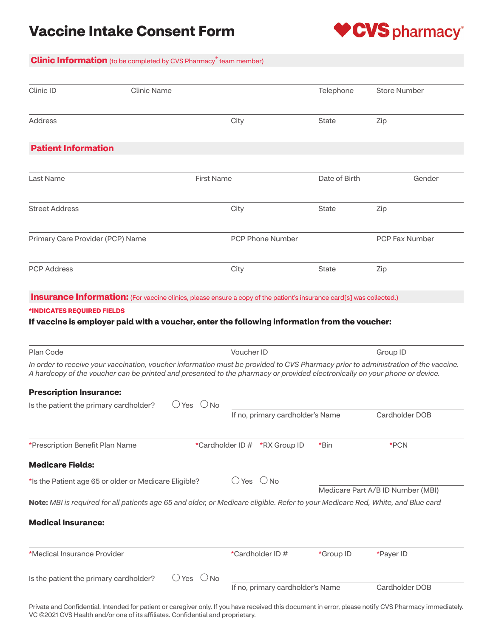# **Vaccine Intake Consent Form**



## **Clinic Information** (to be completed by CVS Pharmacy**®** team member)

| Clinic ID                                                                                                                                                                                                                                                                                                                                                                                                                                                                                                                                                                                                                                                                | <b>Clinic Name</b> |                   |                              |                                  | Telephone     | <b>Store Number</b>                                                                                                                            |
|--------------------------------------------------------------------------------------------------------------------------------------------------------------------------------------------------------------------------------------------------------------------------------------------------------------------------------------------------------------------------------------------------------------------------------------------------------------------------------------------------------------------------------------------------------------------------------------------------------------------------------------------------------------------------|--------------------|-------------------|------------------------------|----------------------------------|---------------|------------------------------------------------------------------------------------------------------------------------------------------------|
| Address                                                                                                                                                                                                                                                                                                                                                                                                                                                                                                                                                                                                                                                                  |                    |                   | City                         |                                  | <b>State</b>  | Zip                                                                                                                                            |
| <b>Patient Information</b>                                                                                                                                                                                                                                                                                                                                                                                                                                                                                                                                                                                                                                               |                    |                   |                              |                                  |               |                                                                                                                                                |
| <b>Last Name</b>                                                                                                                                                                                                                                                                                                                                                                                                                                                                                                                                                                                                                                                         |                    | <b>First Name</b> |                              |                                  | Date of Birth | Gender                                                                                                                                         |
| <b>Street Address</b>                                                                                                                                                                                                                                                                                                                                                                                                                                                                                                                                                                                                                                                    |                    |                   | City                         |                                  | State         | Zip                                                                                                                                            |
| Primary Care Provider (PCP) Name                                                                                                                                                                                                                                                                                                                                                                                                                                                                                                                                                                                                                                         |                    |                   |                              | <b>PCP Phone Number</b>          |               | <b>PCP Fax Number</b>                                                                                                                          |
| <b>PCP Address</b>                                                                                                                                                                                                                                                                                                                                                                                                                                                                                                                                                                                                                                                       |                    |                   | City                         |                                  | <b>State</b>  | Zip                                                                                                                                            |
| <b>Insurance Information:</b> (For vaccine clinics, please ensure a copy of the patient's insurance card[s] was collected.)                                                                                                                                                                                                                                                                                                                                                                                                                                                                                                                                              |                    |                   |                              |                                  |               |                                                                                                                                                |
|                                                                                                                                                                                                                                                                                                                                                                                                                                                                                                                                                                                                                                                                          |                    |                   |                              |                                  |               |                                                                                                                                                |
|                                                                                                                                                                                                                                                                                                                                                                                                                                                                                                                                                                                                                                                                          |                    |                   |                              |                                  |               |                                                                                                                                                |
|                                                                                                                                                                                                                                                                                                                                                                                                                                                                                                                                                                                                                                                                          |                    |                   |                              |                                  |               |                                                                                                                                                |
|                                                                                                                                                                                                                                                                                                                                                                                                                                                                                                                                                                                                                                                                          |                    |                   |                              |                                  |               |                                                                                                                                                |
|                                                                                                                                                                                                                                                                                                                                                                                                                                                                                                                                                                                                                                                                          |                    |                   | Voucher ID                   |                                  |               |                                                                                                                                                |
|                                                                                                                                                                                                                                                                                                                                                                                                                                                                                                                                                                                                                                                                          |                    |                   |                              |                                  |               | Group ID<br>In order to receive your vaccination, voucher information must be provided to CVS Pharmacy prior to administration of the vaccine. |
|                                                                                                                                                                                                                                                                                                                                                                                                                                                                                                                                                                                                                                                                          |                    |                   |                              |                                  |               |                                                                                                                                                |
|                                                                                                                                                                                                                                                                                                                                                                                                                                                                                                                                                                                                                                                                          |                    | $O$ Yes $O$ No    |                              |                                  |               |                                                                                                                                                |
|                                                                                                                                                                                                                                                                                                                                                                                                                                                                                                                                                                                                                                                                          |                    |                   |                              | If no, primary cardholder's Name |               | Cardholder DOB                                                                                                                                 |
|                                                                                                                                                                                                                                                                                                                                                                                                                                                                                                                                                                                                                                                                          |                    |                   |                              | *Cardholder ID # *RX Group ID    | *Bin          | *PCN                                                                                                                                           |
|                                                                                                                                                                                                                                                                                                                                                                                                                                                                                                                                                                                                                                                                          |                    |                   |                              |                                  |               |                                                                                                                                                |
|                                                                                                                                                                                                                                                                                                                                                                                                                                                                                                                                                                                                                                                                          |                    |                   |                              |                                  |               |                                                                                                                                                |
|                                                                                                                                                                                                                                                                                                                                                                                                                                                                                                                                                                                                                                                                          |                    |                   | $\bigcirc$ Yes $\bigcirc$ No |                                  |               | Medicare Part A/B ID Number (MBI)                                                                                                              |
|                                                                                                                                                                                                                                                                                                                                                                                                                                                                                                                                                                                                                                                                          |                    |                   |                              |                                  |               |                                                                                                                                                |
|                                                                                                                                                                                                                                                                                                                                                                                                                                                                                                                                                                                                                                                                          |                    |                   |                              |                                  |               |                                                                                                                                                |
| *INDICATES REQUIRED FIELDS<br>If vaccine is employer paid with a voucher, enter the following information from the voucher:<br>Plan Code<br>A hardcopy of the voucher can be printed and presented to the pharmacy or provided electronically on your phone or device.<br><b>Prescription Insurance:</b><br>Is the patient the primary cardholder?<br>*Prescription Benefit Plan Name<br><b>Medicare Fields:</b><br>*Is the Patient age 65 or older or Medicare Eligible?<br>Note: MBI is required for all patients age 65 and older, or Medicare eligible. Refer to your Medicare Red, White, and Blue card<br><b>Medical Insurance:</b><br>*Medical Insurance Provider |                    |                   |                              | *Cardholder ID #                 | *Group ID     | *Payer ID                                                                                                                                      |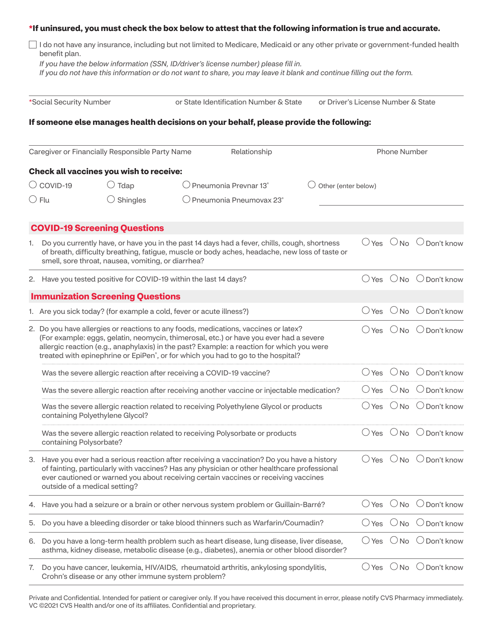### **\*If uninsured, you must check the box below to attest that the following information is true and accurate.**

|               |  | □ I do not have any insurance, including but not limited to Medicare, Medicaid or any other private or government-funded health |
|---------------|--|---------------------------------------------------------------------------------------------------------------------------------|
| benefit plan. |  |                                                                                                                                 |

*If you have the below information (SSN, ID/driver's license number) please fill in.* 

*If you do not have this information or do not want to share, you may leave it blank and continue filling out the form.*

| *Social Security Number |                               | or State Identification Number & State                               | or Driver's License Number & State |                                                                                                                                                                                                                                                                                                                                                                             |  |                     |                     |                                                    |
|-------------------------|-------------------------------|----------------------------------------------------------------------|------------------------------------|-----------------------------------------------------------------------------------------------------------------------------------------------------------------------------------------------------------------------------------------------------------------------------------------------------------------------------------------------------------------------------|--|---------------------|---------------------|----------------------------------------------------|
|                         |                               |                                                                      |                                    | If someone else manages health decisions on your behalf, please provide the following:                                                                                                                                                                                                                                                                                      |  |                     |                     |                                                    |
|                         |                               | Caregiver or Financially Responsible Party Name                      |                                    | Relationship                                                                                                                                                                                                                                                                                                                                                                |  |                     | <b>Phone Number</b> |                                                    |
|                         |                               | Check all vaccines you wish to receive:                              |                                    |                                                                                                                                                                                                                                                                                                                                                                             |  |                     |                     |                                                    |
|                         | $\bigcirc$ COVID-19           | $\bigcirc$ Tdap                                                      |                                    | () Pneumonia Prevnar 13 <sup>°</sup>                                                                                                                                                                                                                                                                                                                                        |  | Other (enter below) |                     |                                                    |
|                         | $\cup$ Flu                    | Shingles                                                             |                                    | $\bigcirc$ Pneumonia Pneumovax 23 $^\circ$                                                                                                                                                                                                                                                                                                                                  |  |                     |                     |                                                    |
|                         |                               | <b>COVID-19 Screening Questions</b>                                  |                                    |                                                                                                                                                                                                                                                                                                                                                                             |  |                     |                     |                                                    |
| 1.                      |                               | smell, sore throat, nausea, vomiting, or diarrhea?                   |                                    | Do you currently have, or have you in the past 14 days had a fever, chills, cough, shortness<br>of breath, difficulty breathing, fatigue, muscle or body aches, headache, new loss of taste or                                                                                                                                                                              |  |                     |                     | $\bigcirc$ Yes $\bigcirc$ No $\bigcirc$ Don't know |
|                         |                               | 2. Have you tested positive for COVID-19 within the last 14 days?    |                                    |                                                                                                                                                                                                                                                                                                                                                                             |  | $()$ Yes            |                     | $\bigcirc$ No $\bigcirc$ Don't know                |
|                         |                               | <b>Immunization Screening Questions</b>                              |                                    |                                                                                                                                                                                                                                                                                                                                                                             |  |                     |                     |                                                    |
|                         |                               | 1. Are you sick today? (for example a cold, fever or acute illness?) |                                    |                                                                                                                                                                                                                                                                                                                                                                             |  | $\bigcirc$ Yes      |                     | $\bigcirc$ No $\bigcirc$ Don't know                |
|                         |                               |                                                                      |                                    | 2. Do you have allergies or reactions to any foods, medications, vaccines or latex?<br>(For example: eggs, gelatin, neomycin, thimerosal, etc.) or have you ever had a severe<br>allergic reaction (e.g., anaphylaxis) in the past? Example: a reaction for which you were<br>treated with epinephrine or EpiPen <sup>®</sup> , or for which you had to go to the hospital? |  |                     |                     | $\bigcirc$ Yes $\bigcirc$ No $\bigcirc$ Don't know |
|                         |                               | Was the severe allergic reaction after receiving a COVID-19 vaccine? |                                    |                                                                                                                                                                                                                                                                                                                                                                             |  | $\bigcirc$ Yes      | $\bigcirc$ No       | $\bigcirc$ Don't know                              |
|                         |                               |                                                                      |                                    | Was the severe allergic reaction after receiving another vaccine or injectable medication?                                                                                                                                                                                                                                                                                  |  | $()$ Yes            |                     | $\bigcirc$ No $\bigcirc$ Don't know                |
|                         |                               | containing Polyethylene Glycol?                                      |                                    | Was the severe allergic reaction related to receiving Polyethylene Glycol or products                                                                                                                                                                                                                                                                                       |  |                     |                     | $\bigcirc$ Yes $\bigcirc$ No $\bigcirc$ Don't know |
|                         | containing Polysorbate?       |                                                                      |                                    | Was the severe allergic reaction related to receiving Polysorbate or products                                                                                                                                                                                                                                                                                               |  | () Yes              |                     | $\bigcirc$ No $\bigcirc$ Don't know                |
|                         | outside of a medical setting? |                                                                      |                                    | 3. Have you ever had a serious reaction after receiving a vaccination? Do you have a history<br>of fainting, particularly with vaccines? Has any physician or other healthcare professional<br>ever cautioned or warned you about receiving certain vaccines or receiving vaccines                                                                                          |  |                     |                     | $\bigcirc$ Yes $\bigcirc$ No $\bigcirc$ Don't know |
| 4.                      |                               |                                                                      |                                    | Have you had a seizure or a brain or other nervous system problem or Guillain-Barré?                                                                                                                                                                                                                                                                                        |  | $\bigcirc$ Yes      | $\bigcirc$ No       | $\bigcirc$ Don't know                              |
| 5.                      |                               |                                                                      |                                    | Do you have a bleeding disorder or take blood thinners such as Warfarin/Coumadin?                                                                                                                                                                                                                                                                                           |  | $\bigcirc$ Yes      |                     | $\bigcirc$ No $\bigcirc$ Don't know                |
| 6.                      |                               |                                                                      |                                    | Do you have a long-term health problem such as heart disease, lung disease, liver disease,<br>asthma, kidney disease, metabolic disease (e.g., diabetes), anemia or other blood disorder?                                                                                                                                                                                   |  | $\bigcirc$ Yes      | $\bigcirc$ No       | $\bigcirc$ Don't know                              |
|                         |                               |                                                                      |                                    |                                                                                                                                                                                                                                                                                                                                                                             |  |                     |                     |                                                    |

7. Do you have cancer, leukemia, HIV/AIDS, rheumatoid arthritis, ankylosing spondylitis, Crohn's disease or any other immune system problem?  $\bigcirc$  Yes  $\bigcirc$  No  $\bigcirc$  Don't know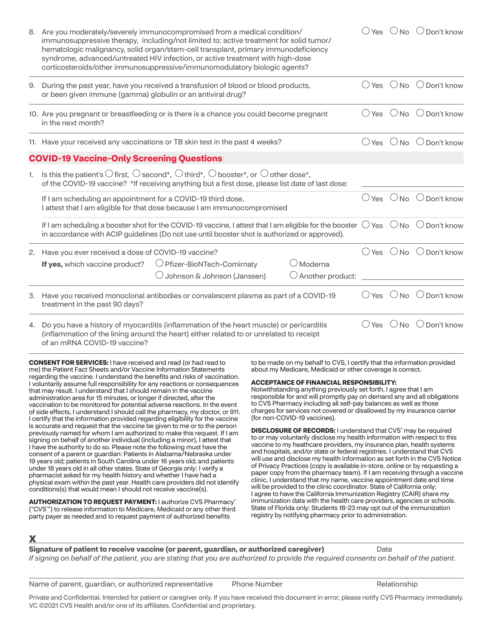|    | 8. Are you moderately/severely immunocompromised from a medical condition/<br>immunosuppressive therapy, including/not limited to: active treatment for solid tumor/<br>hematologic malignancy, solid organ/stem-cell transplant, primary immunodeficiency<br>syndrome, advanced/untreated HIV infection, or active treatment with high-dose<br>corticosteroids/other immunosuppressive/immunomodulatory biologic agents?                                                                                                                                                                                                                                                                                                                                                                                                                                                                                                                                                                                                                                                                                                                                                                                                                                                                                                                                                                                                                                                                                                                                                                                                                                                                                                                                                                                                                                                                                                                                                                                                                                                                                                                                                                                                                                                                                                                                                                                                                                                                                                                                                                                                                                                                                                                                                                                                                                                                                                                                                                                                                                                                                                                                                                                    |  | $\bigcirc$ Yes $\bigcirc$ No $\bigcirc$ Don't know |
|----|--------------------------------------------------------------------------------------------------------------------------------------------------------------------------------------------------------------------------------------------------------------------------------------------------------------------------------------------------------------------------------------------------------------------------------------------------------------------------------------------------------------------------------------------------------------------------------------------------------------------------------------------------------------------------------------------------------------------------------------------------------------------------------------------------------------------------------------------------------------------------------------------------------------------------------------------------------------------------------------------------------------------------------------------------------------------------------------------------------------------------------------------------------------------------------------------------------------------------------------------------------------------------------------------------------------------------------------------------------------------------------------------------------------------------------------------------------------------------------------------------------------------------------------------------------------------------------------------------------------------------------------------------------------------------------------------------------------------------------------------------------------------------------------------------------------------------------------------------------------------------------------------------------------------------------------------------------------------------------------------------------------------------------------------------------------------------------------------------------------------------------------------------------------------------------------------------------------------------------------------------------------------------------------------------------------------------------------------------------------------------------------------------------------------------------------------------------------------------------------------------------------------------------------------------------------------------------------------------------------------------------------------------------------------------------------------------------------------------------------------------------------------------------------------------------------------------------------------------------------------------------------------------------------------------------------------------------------------------------------------------------------------------------------------------------------------------------------------------------------------------------------------------------------------------------------------------------------|--|----------------------------------------------------|
|    | 9. During the past year, have you received a transfusion of blood or blood products,<br>or been given immune (gamma) globulin or an antiviral drug?                                                                                                                                                                                                                                                                                                                                                                                                                                                                                                                                                                                                                                                                                                                                                                                                                                                                                                                                                                                                                                                                                                                                                                                                                                                                                                                                                                                                                                                                                                                                                                                                                                                                                                                                                                                                                                                                                                                                                                                                                                                                                                                                                                                                                                                                                                                                                                                                                                                                                                                                                                                                                                                                                                                                                                                                                                                                                                                                                                                                                                                          |  | $\bigcirc$ Yes $\bigcirc$ No $\bigcirc$ Don't know |
|    | 10. Are you pregnant or breastfeeding or is there is a chance you could become pregnant<br>in the next month?                                                                                                                                                                                                                                                                                                                                                                                                                                                                                                                                                                                                                                                                                                                                                                                                                                                                                                                                                                                                                                                                                                                                                                                                                                                                                                                                                                                                                                                                                                                                                                                                                                                                                                                                                                                                                                                                                                                                                                                                                                                                                                                                                                                                                                                                                                                                                                                                                                                                                                                                                                                                                                                                                                                                                                                                                                                                                                                                                                                                                                                                                                |  | $\bigcirc$ Yes $\bigcirc$ No $\bigcirc$ Don't know |
|    | 11. Have your received any vaccinations or TB skin test in the past 4 weeks?                                                                                                                                                                                                                                                                                                                                                                                                                                                                                                                                                                                                                                                                                                                                                                                                                                                                                                                                                                                                                                                                                                                                                                                                                                                                                                                                                                                                                                                                                                                                                                                                                                                                                                                                                                                                                                                                                                                                                                                                                                                                                                                                                                                                                                                                                                                                                                                                                                                                                                                                                                                                                                                                                                                                                                                                                                                                                                                                                                                                                                                                                                                                 |  | $\bigcirc$ Yes $\bigcirc$ No $\bigcirc$ Don't know |
|    | <b>COVID-19 Vaccine-Only Screening Questions</b>                                                                                                                                                                                                                                                                                                                                                                                                                                                                                                                                                                                                                                                                                                                                                                                                                                                                                                                                                                                                                                                                                                                                                                                                                                                                                                                                                                                                                                                                                                                                                                                                                                                                                                                                                                                                                                                                                                                                                                                                                                                                                                                                                                                                                                                                                                                                                                                                                                                                                                                                                                                                                                                                                                                                                                                                                                                                                                                                                                                                                                                                                                                                                             |  |                                                    |
| 1. | Is this the patient's $\bigcirc$ first, $\bigcirc$ second*, $\bigcirc$ third*, $\bigcirc$ booster*, or $\bigcirc$ other dose*,<br>of the COVID-19 vaccine? *If receiving anything but a first dose, please list date of last dose:                                                                                                                                                                                                                                                                                                                                                                                                                                                                                                                                                                                                                                                                                                                                                                                                                                                                                                                                                                                                                                                                                                                                                                                                                                                                                                                                                                                                                                                                                                                                                                                                                                                                                                                                                                                                                                                                                                                                                                                                                                                                                                                                                                                                                                                                                                                                                                                                                                                                                                                                                                                                                                                                                                                                                                                                                                                                                                                                                                           |  |                                                    |
|    | If I am scheduling an appointment for a COVID-19 third dose,<br>I attest that I am eligible for that dose because I am immunocompromised                                                                                                                                                                                                                                                                                                                                                                                                                                                                                                                                                                                                                                                                                                                                                                                                                                                                                                                                                                                                                                                                                                                                                                                                                                                                                                                                                                                                                                                                                                                                                                                                                                                                                                                                                                                                                                                                                                                                                                                                                                                                                                                                                                                                                                                                                                                                                                                                                                                                                                                                                                                                                                                                                                                                                                                                                                                                                                                                                                                                                                                                     |  | $\bigcirc$ Yes $\bigcirc$ No $\bigcirc$ Don't know |
|    | If I am scheduling a booster shot for the COVID-19 vaccine, I attest that I am eligible for the booster $\bigcirc$ Yes $\,\cup$ No $\,\circ$ Don't know<br>in accordance with ACIP guidelines (Do not use until booster shot is authorized or approved).                                                                                                                                                                                                                                                                                                                                                                                                                                                                                                                                                                                                                                                                                                                                                                                                                                                                                                                                                                                                                                                                                                                                                                                                                                                                                                                                                                                                                                                                                                                                                                                                                                                                                                                                                                                                                                                                                                                                                                                                                                                                                                                                                                                                                                                                                                                                                                                                                                                                                                                                                                                                                                                                                                                                                                                                                                                                                                                                                     |  |                                                    |
|    | 2. Have you ever received a dose of COVID-19 vaccine?<br>$\bigcirc$ Moderna<br>$\bigcirc$ Pfizer-BioNTech-Comirnaty<br>If yes, which vaccine product?<br>$\bigcirc$ Johnson & Johnson (Janssen)<br>$\bigcirc$ Another product:                                                                                                                                                                                                                                                                                                                                                                                                                                                                                                                                                                                                                                                                                                                                                                                                                                                                                                                                                                                                                                                                                                                                                                                                                                                                                                                                                                                                                                                                                                                                                                                                                                                                                                                                                                                                                                                                                                                                                                                                                                                                                                                                                                                                                                                                                                                                                                                                                                                                                                                                                                                                                                                                                                                                                                                                                                                                                                                                                                               |  | $\bigcirc$ Yes $\bigcirc$ No $\bigcirc$ Don't know |
|    | 3. Have you received monoclonal antibodies or convalescent plasma as part of a COVID-19<br>treatment in the past 90 days?                                                                                                                                                                                                                                                                                                                                                                                                                                                                                                                                                                                                                                                                                                                                                                                                                                                                                                                                                                                                                                                                                                                                                                                                                                                                                                                                                                                                                                                                                                                                                                                                                                                                                                                                                                                                                                                                                                                                                                                                                                                                                                                                                                                                                                                                                                                                                                                                                                                                                                                                                                                                                                                                                                                                                                                                                                                                                                                                                                                                                                                                                    |  | $\bigcirc$ Yes $\bigcirc$ No $\bigcirc$ Don't know |
|    | 4. Do you have a history of myocarditis (inflammation of the heart muscle) or pericarditis<br>(inflammation of the lining around the heart) either related to or unrelated to receipt<br>of an mRNA COVID-19 vaccine?                                                                                                                                                                                                                                                                                                                                                                                                                                                                                                                                                                                                                                                                                                                                                                                                                                                                                                                                                                                                                                                                                                                                                                                                                                                                                                                                                                                                                                                                                                                                                                                                                                                                                                                                                                                                                                                                                                                                                                                                                                                                                                                                                                                                                                                                                                                                                                                                                                                                                                                                                                                                                                                                                                                                                                                                                                                                                                                                                                                        |  | $\bigcirc$ Yes $\bigcirc$ No $\bigcirc$ Don't know |
| х  | <b>CONSENT FOR SERVICES: I have received and read (or had read to</b><br>to be made on my behalf to CVS, I certify that the information provided<br>me) the Patient Fact Sheets and/or Vaccine Information Statements<br>about my Medicare, Medicaid or other coverage is correct.<br>regarding the vaccine. I understand the benefits and risks of vaccination.<br><b>ACCEPTANCE OF FINANCIAL RESPONSIBILITY:</b><br>I voluntarily assume full responsibility for any reactions or consequences<br>Notwithstanding anything previously set forth, I agree that I am<br>that may result. I understand that I should remain in the vaccine<br>responsible for and will promptly pay on demand any and all obligations<br>administration area for 15 minutes, or longer if directed, after the<br>to CVS Pharmacy including all self-pay balances as well as those<br>vaccination to be monitored for potential adverse reactions. In the event<br>charges for services not covered or disallowed by my insurance carrier<br>of side effects, I understand I should call the pharmacy, my doctor, or 911.<br>(for non-COVID-19 vaccines).<br>I certify that the information provided regarding eligibility for the vaccine<br>is accurate and request that the vaccine be given to me or to the person<br><b>DISCLOSURE OF RECORDS:</b> I understand that CVS° may be required<br>previously named for whom I am authorized to make this request. If I am<br>to or may voluntarily disclose my health information with respect to this<br>signing on behalf of another individual (including a minor), I attest that<br>vaccine to my heathcare providers, my insurance plan, health systems<br>I have the authority to do so. Please note the following must have the<br>and hospitals, and/or state or federal registries. I understand that CVS<br>consent of a parent or guardian: Patients in Alabama/Nebraska under<br>will use and disclose my health information as set forth in the CVS Notice<br>19 years old; patients in South Carolina under 16 years old; and patients<br>of Privacy Practices (copy is available in-store, online or by requesting a<br>under 18 years old in all other states. State of Georgia only: I verify a<br>paper copy from the pharmacy team). If I am receiving through a vaccine<br>pharmacist asked for my health history and whether I have had a<br>clinic, I understand that my name, vaccine appointment date and time<br>physical exam within the past year. Health care providers did not identify<br>will be provided to the clinic coordinator. State of California only:<br>conditions(s) that would mean I should not receive vaccine(s).<br>I agree to have the California Immunization Registry (CAIR) share my<br>immunization data with the health care providers, agencies or schools.<br><b>AUTHORIZATION TO REQUEST PAYMENT: I authorize CVS Pharmacy®</b><br>State of Florida only: Students 18-23 may opt out of the immunization<br>("CVS"") to release information to Medicare, Medicaid or any other third<br>registry by notifying pharmacy prior to administration.<br>party payer as needed and to request payment of authorized benefits |  |                                                    |
|    |                                                                                                                                                                                                                                                                                                                                                                                                                                                                                                                                                                                                                                                                                                                                                                                                                                                                                                                                                                                                                                                                                                                                                                                                                                                                                                                                                                                                                                                                                                                                                                                                                                                                                                                                                                                                                                                                                                                                                                                                                                                                                                                                                                                                                                                                                                                                                                                                                                                                                                                                                                                                                                                                                                                                                                                                                                                                                                                                                                                                                                                                                                                                                                                                              |  |                                                    |

**Signature of patient to receive vaccine (or parent, guardian, or authorized caregiver)** Date

*If signing on behalf of the patient, you are stating that you are authorized to provide the required consents on behalf of the patient.*

Name of parent, guardian, or authorized representative Phone Number Phone Relationship